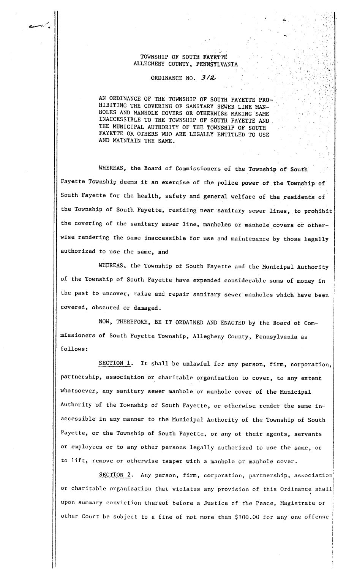## TOWNSHIP OF SOUTH FAtETTE ALLEGHENY COUNTY. PENNSYLVANIA

 $\mathcal{L}$ 'I":,.': """J  $\sim$   $\sim$  $,\,;\,;\,;$ 

 $\sim$   $1$   $\sim$ 

I

,.¡ ,  $\mathcal{A}_1, \mathcal{I}_2$ '..:fi.

~'.

. ;

 $\mathbf{r}$ 

.<br>.<br>.

J

## ORDINANCE NO.  $3/2$

AN ORDINANCE OF THE TOWNSHIP OF SOUTH FAYETTE PRO~ HIBITING THE COVERING OF SANITARY SEWER LINE MAN-HOLES AND MANHOLE COVERS OR OTHERWISE MAKING SAME INACCESSIBLE TO THE TOWNSHIP OF SOUTII FAYETTE AND THE MUNICIPAL AUTHORITY OF THE TOWNSHIP OF SOUTH FAYETTE OR OTHERS WHO ARE LEGALLY ENTITLED TO USE AND MAINTAIN THE SAME.

WHEREAS, the Board of Commissioners of the Township of South Fayette Township deems it an exercise of the police power of the 'Township of South Fayette for the health, safety and general welfare of the residents of the Township of South Fayette, residing near sanitary sewer lines, to prohibit the covering of the sanitary sewer line, manholes or manhole covers or otherwise rendering the same inaccessible for use and maintenance by those legally authorized to use the same, and

WHEREAS. the Township of South Fayette and the Municipal Authority of the Township of South Fayette have expended considerable sums of money in the past to uncover, raise and repair sanitary sewer manholes which have been covered, obscured or damaged.

NOW. THEREFORE, BE IT ORDAINED AND ENACTED by the Board of Commissioners of South Fayette Township, Allegheny County, Pennsylvania as follows:

SECTION 1. It shall be unlawful for any person, firm, corporation, partnership, association or charitable organization to cover, to any extent whatsoever, any sanitary sewer manhole or manhole cover of the Municipal Authority of the Township of South Fayette, or otherwise render the same inaccessible in any manner to the Municipal Authority of the Township of South Fayette, or the Township of South Fayette, or any of their agents, servants or employees or to any other persons legally authorized to use the same, or to lift, remove or otherwise tamper with a manhole or manhole cover.

SECTION 2. Any person, firm, corporation, partnership, association or charitable organization that violates any provision of this Ordinance shall upon summary conviction thereof before a Justice of the Peace, Magistrate or other Court be subject to a fine of not more than \$100.00 for anyone offense